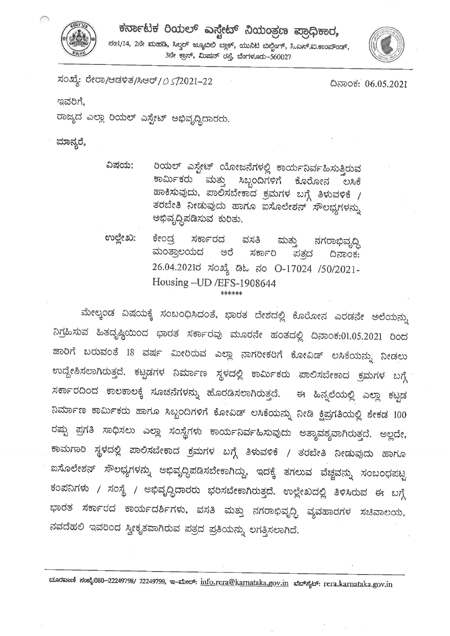



ಸಂಖ್ಯೆ: ರೇರಾ/ಆಡಳಿತ/ಸಿಆರ್/ 0 5/2021-22

ದಿನಾಂಕ: 06.05.2021

ಇವರಿಗೆ.

ರಾಜ್ಯದ ಎಲ್ಲಾ ರಿಯಲ್ ಎಸ್ಟೇಟ್ ಅಭಿವೃದ್ಧಿದಾರರು.

ಮಾನ್ಯರೆ,

- ರಿಯಲ್ ಎಸ್ಟೇಟ್ ಯೋಜನೆಗಳಲ್ಲಿ ಕಾರ್ಯನಿರ್ವಹಿಸುತ್ತಿರುವ ವಿಷಯ: ಮತ್ತು ಕಾರ್ಮಿಕರು ಸಿಬ್ಬಂದಿಗಳಿಗೆ ಕೊರೋನ ಲಸಿಕೆ ಹಾಕಿಸುವುದು, ಪಾಲಿಸಬೇಕಾದ ಕ್ರಮಗಳ ಬಗ್ಗೆ ತಿಳುವಳಿಕೆ  $\sqrt{ }$ ತರಬೇತಿ ನೀಡುವುದು ಹಾಗೂ ಐಸೊಲೇಶನ್ ಸೌಲಭ್ಯಗಳನ್ನು ಅಭಿವೃದ್ಧಿಪಡಿಸುವ ಕುರಿತು.
- ಉಲ್ಲೇಖ: ಕೇಂದ್ರ ಸರ್ಕಾರದ . ವಸತಿ ಮತ್ತು ನಗರಾಭಿವೃದ್ಧಿ ಮಂತ್ರಾಲಯದ ಅರೆ ಸರ್ಕಾರಿ ಪತ್ರದ ದಿನಾಂಕ: 26.04.2021ರ ಸಂಖ್ಯೆ ಡಿಓ ನಂ O-17024 /50/2021-Housing - UD / EFS-1908644 \*\*\*\*\*\*

ಮೇಲ್ಕಂಡ ವಿಷಯಕ್ಕೆ ಸಂಬಂಧಿಸಿದಂತೆ, ಭಾರತ ದೇಶದಲ್ಲಿ ಕೊರೋನ ಎರಡನೇ ಅಲೆಯನ್ನು ನಿಗ್ರಹಿಸುವ ಹಿತದೃಷ್ಠಿಯಿಂದ ಭಾರತ ಸರ್ಕಾರವು ಮೂರನೇ ಹಂತದಲ್ಲಿ ದಿನಾಂಕ:01.05.2021 ರಿಂದ ಜಾರಿಗೆ ಬರುವಂತೆ 18 ವರ್ಷ ಮೀರಿರುವ ಎಲ್ಲಾ ನಾಗರೀಕರಿಗೆ ಕೋವಿಡ್ ಲಸಿಕೆಯನ್ನು ನೀಡಲು ಉದ್ದೇಶಿಸಲಾಗಿರುತ್ತದೆ. ಕಟ್ಟಡಗಳ ನಿರ್ಮಾಣ ಸ್ಥಳದಲ್ಲಿ ಕಾರ್ಮಿಕರು ಪಾಲಿಸಬೇಕಾದ ಕ್ರಮಗಳ ಬಗ್ಗೆ ಸರ್ಕಾರದಿಂದ ಕಾಲಕಾಲಕ್ಕೆ ಸೂಚನೆಗಳನ್ನು ಹೊರಡಿಸಲಾಗಿರುತ್ತದೆ. ಈ ಹಿನ್ನಲೆಯಲ್ಲಿ ಎಲ್ಲಾ ಕಟ್ಟಡ ನಿರ್ಮಾಣ ಕಾರ್ಮಿಕರು ಹಾಗೂ ಸಿಬ್ಬಂದಿಗಳಿಗೆ ಕೋವಿಡ್ ಲಸಿಕೆಯನ್ನು ನೀಡಿ ಕ್ಷಿಪ್ರಗತಿಯಲ್ಲಿ ಶೇಕಡ 100 ರಷ್ಟು ಪ್ರಗತಿ ಸಾಧಿಸಲು ಎಲ್ಲಾ ಸಂಸ್ಥೆಗಳು ಕಾರ್ಯನಿರ್ವಹಿಸುವುದು ಅತ್ಯಾವಶ್ಯವಾಗಿರುತ್ತದೆ. ಅಲ್ಲದೇ, ಕಾಮಗಾರಿ ಸ್ಥಳದಲ್ಲಿ ಪಾಲಿಸಬೇಕಾದ ಕ್ರಮಗಳ ಬಗ್ಗೆ ತಿಳುವಳಿಕೆ / ತರಬೇತಿ ನೀಡುವುದು ಹಾಗೂ ಐಸೊಲೇಶನ್ ಸೌಲಭ್ಯಗಳನ್ನು ಅಭಿವೃದ್ಧಿಪಡಿಸಬೇಕಾಗಿದ್ದು, ಇದಕ್ಕೆ ತಗಲುವ ವೆಚ್ಚವನ್ನು ಸಂಬಂಧಪಟ್ಟ ಕಂಪನಿಗಳು / ಸಂಸ್ಥೆ / ಅಭಿವೃದ್ಧಿದಾರರು ಭರಿಸಬೇಕಾಗಿರುತ್ತದೆ. ಉಲ್ಲೇಖದಲ್ಲಿ ತಿಳಿಸಿರುವ ಈ ಬಗ್ಗೆ ಭಾರತ ಸರ್ಕಾರದ ಕಾರ್ಯದರ್ಶಿಗಳು, ವಸತಿ ಮತ್ತು ನಗರಾಭಿವೃದ್ಧಿ ವ್ಯವಹಾರಗಳ ಸಚಿವಾಲಯ, ನವದೆಹಲಿ ಇವರಿಂದ ಸ್ವೀಕೃತವಾಗಿರುವ ಪತ್ರದ ಪ್ರತಿಯನ್ನು ಲಗತ್ತಿಸಲಾಗಿದೆ.

ದೂರವಾಣಿ ಸಂಖ್ಯೆ-080–22249798/ 22249799, ಇ–ಮೇಲ್: info.rera@kamataka.gov.in ಮೆಬ್ಬೈಟ್: rera.karnataka.gov.in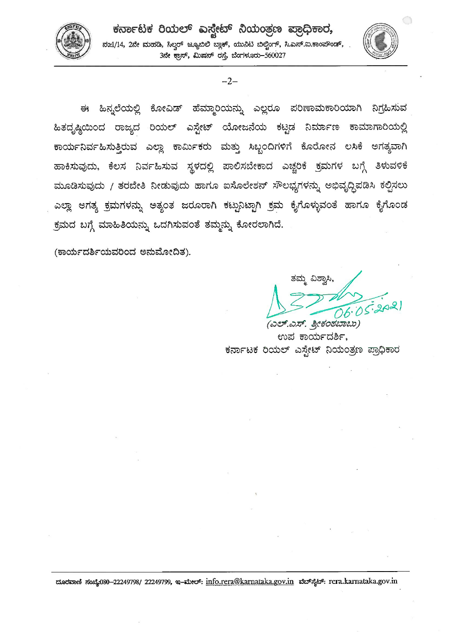



ಈ ಹಿನ್ನಲೆಯಲ್ಲಿ ಕೋವಿಡ್ ಹೆಮ್ಮಾರಿಯನ್ನು ಎಲ್ಲರೂ ಪರಿಣಾಮಕಾರಿಯಾಗಿ ನಿಗ್ರಹಿಸುವ ಹಿತದೃಷ್ಠಿಯಿಂದ ರಾಜ್ಯದ ರಿಯಲ್ ಎಸ್ಟೇಟ್ ಯೋಜನೆಯ ಕಟ್ಟಡ ನಿರ್ಮಾಣ ಕಾಮಾಗಾರಿಯಲ್ಲಿ ಕಾರ್ಯನಿರ್ವಹಿಸುತ್ತಿರುವ ಎಲ್ಲಾ ಕಾರ್ಮಿಕರು ಮತ್ತು ಸಿಬ್ಬಂದಿಗಳಿಗೆ ಕೊರೋನ ಲಸಿಕೆ ಅಗತ್ಯವಾಗಿ ಹಾಕಿಸುವುದು, ಕೆಲಸ ನಿರ್ವಹಿಸುವ ಸ್ಥಳದಲ್ಲಿ ಪಾಲಿಸಬೇಕಾದ ಎಚ್ಚರಿಕೆ ಕ್ರಮಗಳ ಬಗ್ಗೆ ತಿಳುವಳಿಕೆ ಮೂಡಿಸುವುದು / ತರಬೇತಿ ನೀಡುವುದು ಹಾಗೂ ಐಸೊಲೇಶನ್ ಸೌಲಭ್ಯಗಳನ್ನು ಅಭಿವೃದ್ಧಿಪಡಿಸಿ ಕಲ್ಪಿಸಲು ಎಲ್ಲಾ ಅಗತ್ಯ ಕ್ರಮಗಳನ್ನು ಅತ್ಯಂತ ಜರೂರಾಗಿ ಕಟ್ಟುನಿಟ್ಟಾಗಿ ಕ್ರಮ ಕೈಗೊಳ್ಳುವಂತೆ ಹಾಗೂ ಕೈಗೊಂಡ ಕ್ರಮದ ಬಗ್ಗೆ ಮಾಹಿತಿಯನ್ನು ಒದಗಿಸುವಂತೆ ತಮ್ಮನ್ನು ಕೋರಲಾಗಿದೆ.

(ಕಾರ್ಯದರ್ಶಿಯವರಿಂದ ಅನುಮೋದಿತ).

ತಮ್ಮ ವಿಶ್ರಾಸಿ,

 $\bigcirc$ 

(ಎಲ್.ಎಸ್. ಶ್ರೀಕಂಠಬಾಬು) ಉಪ ಕಾರ್ಯದರ್ಶಿ, ಕರ್ನಾಟಕ ರಿಯಲ್ ಎಸ್ಟೇಟ್ ನಿಯಂತ್ರಣ ಪ್ರಾಧಿಕಾರ